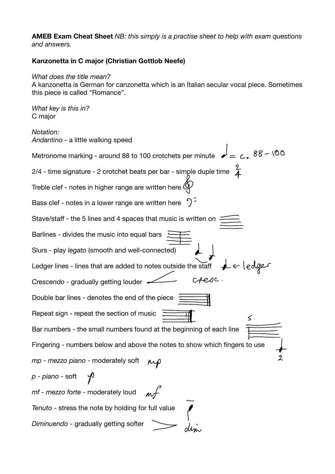**AMEB Exam Cheat Sheet** *NB: this simply is a practise sheet to help with exam questions and answers.* 

## **Kanzonetta in C major (Christian Gottlob Neefe)**

## *What does the title mean?*

A kanzonetta is German for canzonetta which is an Italian secular vocal piece. Sometimes this piece is called "Romance".

*What key is this in?*  C major

*Notation: Andantino* - a little walking speed Metronome marking - around 88 to 100 crotchets per minute  $\epsilon = c - 88 - 00$ 2/4 - time signature - 2 crotchet beats per bar - simple duple time  $\angle$ Treble clef - notes in higher range are written here  $\mathbb Q$ Bass clef - notes in a lower range are written here Stave/staff - the 5 lines and 4 spaces that music is written on Barlines - divides the music into equal bars Slurs - play *legato* (smooth and well-connected) Ledger lines - lines that are added to notes outside the staff cresc. *Crescendo* - gradually getting louder Double bar lines - denotes the end of the piece Repeat sign - repeat the section of music  $\,<\,$ Bar numbers - the small numbers found at the beginning of each line Fingering - numbers below and above the notes to show which fingers to use *mp - mezzo piano* - moderately soft *p - piano* - soft *mf - mezzo forte* - moderately loud *Tenuto* - stress the note by holding for full value *Diminuendo* - gradually getting softer